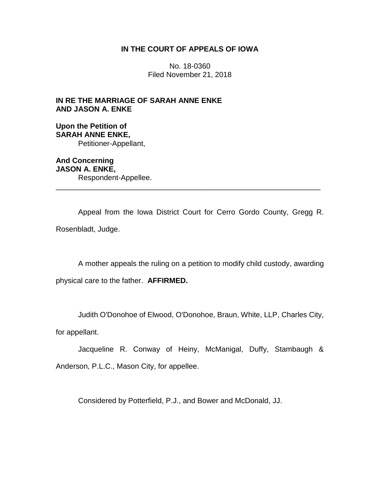# **IN THE COURT OF APPEALS OF IOWA**

No. 18-0360 Filed November 21, 2018

**IN RE THE MARRIAGE OF SARAH ANNE ENKE AND JASON A. ENKE**

**Upon the Petition of SARAH ANNE ENKE,** Petitioner-Appellant,

**And Concerning JASON A. ENKE,** Respondent-Appellee. \_\_\_\_\_\_\_\_\_\_\_\_\_\_\_\_\_\_\_\_\_\_\_\_\_\_\_\_\_\_\_\_\_\_\_\_\_\_\_\_\_\_\_\_\_\_\_\_\_\_\_\_\_\_\_\_\_\_\_\_\_\_\_\_

Appeal from the Iowa District Court for Cerro Gordo County, Gregg R. Rosenbladt, Judge.

A mother appeals the ruling on a petition to modify child custody, awarding

physical care to the father. **AFFIRMED.** 

Judith O'Donohoe of Elwood, O'Donohoe, Braun, White, LLP, Charles City,

for appellant.

Jacqueline R. Conway of Heiny, McManigal, Duffy, Stambaugh & Anderson, P.L.C., Mason City, for appellee.

Considered by Potterfield, P.J., and Bower and McDonald, JJ.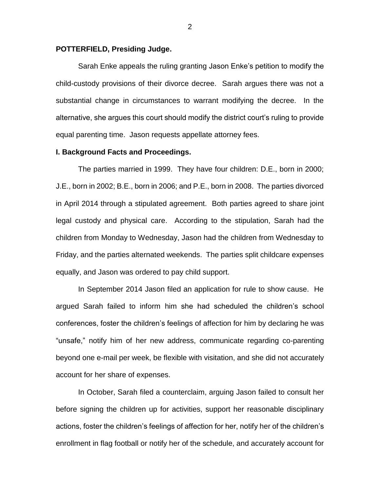### **POTTERFIELD, Presiding Judge.**

Sarah Enke appeals the ruling granting Jason Enke's petition to modify the child-custody provisions of their divorce decree. Sarah argues there was not a substantial change in circumstances to warrant modifying the decree. In the alternative, she argues this court should modify the district court's ruling to provide equal parenting time. Jason requests appellate attorney fees.

### **I. Background Facts and Proceedings.**

The parties married in 1999. They have four children: D.E., born in 2000; J.E., born in 2002; B.E., born in 2006; and P.E., born in 2008. The parties divorced in April 2014 through a stipulated agreement. Both parties agreed to share joint legal custody and physical care. According to the stipulation, Sarah had the children from Monday to Wednesday, Jason had the children from Wednesday to Friday, and the parties alternated weekends. The parties split childcare expenses equally, and Jason was ordered to pay child support.

In September 2014 Jason filed an application for rule to show cause. He argued Sarah failed to inform him she had scheduled the children's school conferences, foster the children's feelings of affection for him by declaring he was "unsafe," notify him of her new address, communicate regarding co-parenting beyond one e-mail per week, be flexible with visitation, and she did not accurately account for her share of expenses.

In October, Sarah filed a counterclaim, arguing Jason failed to consult her before signing the children up for activities, support her reasonable disciplinary actions, foster the children's feelings of affection for her, notify her of the children's enrollment in flag football or notify her of the schedule, and accurately account for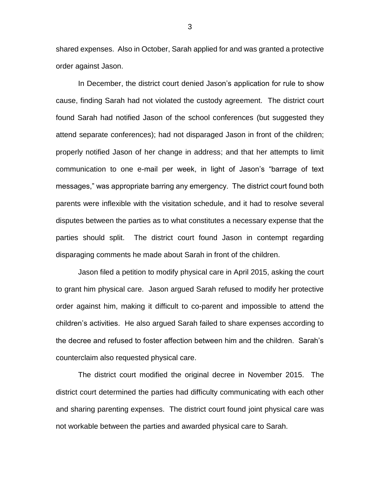shared expenses. Also in October, Sarah applied for and was granted a protective order against Jason.

In December, the district court denied Jason's application for rule to show cause, finding Sarah had not violated the custody agreement. The district court found Sarah had notified Jason of the school conferences (but suggested they attend separate conferences); had not disparaged Jason in front of the children; properly notified Jason of her change in address; and that her attempts to limit communication to one e-mail per week, in light of Jason's "barrage of text messages," was appropriate barring any emergency. The district court found both parents were inflexible with the visitation schedule, and it had to resolve several disputes between the parties as to what constitutes a necessary expense that the parties should split. The district court found Jason in contempt regarding disparaging comments he made about Sarah in front of the children.

Jason filed a petition to modify physical care in April 2015, asking the court to grant him physical care. Jason argued Sarah refused to modify her protective order against him, making it difficult to co-parent and impossible to attend the children's activities. He also argued Sarah failed to share expenses according to the decree and refused to foster affection between him and the children. Sarah's counterclaim also requested physical care.

The district court modified the original decree in November 2015. The district court determined the parties had difficulty communicating with each other and sharing parenting expenses. The district court found joint physical care was not workable between the parties and awarded physical care to Sarah.

3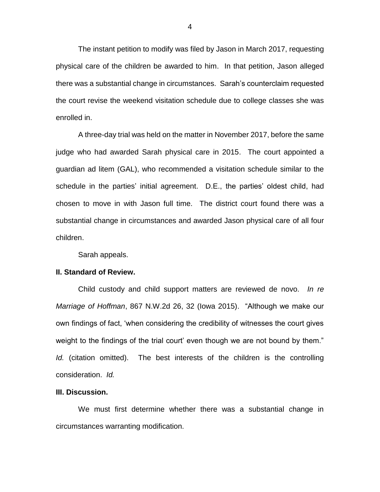The instant petition to modify was filed by Jason in March 2017, requesting physical care of the children be awarded to him. In that petition, Jason alleged there was a substantial change in circumstances. Sarah's counterclaim requested the court revise the weekend visitation schedule due to college classes she was enrolled in.

A three-day trial was held on the matter in November 2017, before the same judge who had awarded Sarah physical care in 2015. The court appointed a guardian ad litem (GAL), who recommended a visitation schedule similar to the schedule in the parties' initial agreement. D.E., the parties' oldest child, had chosen to move in with Jason full time. The district court found there was a substantial change in circumstances and awarded Jason physical care of all four children.

Sarah appeals.

#### **II. Standard of Review.**

Child custody and child support matters are reviewed de novo. *In re Marriage of Hoffman*, 867 N.W.2d 26, 32 (Iowa 2015). "Although we make our own findings of fact, 'when considering the credibility of witnesses the court gives weight to the findings of the trial court' even though we are not bound by them." *Id.* (citation omitted). The best interests of the children is the controlling consideration. *Id.* 

## **III. Discussion.**

We must first determine whether there was a substantial change in circumstances warranting modification.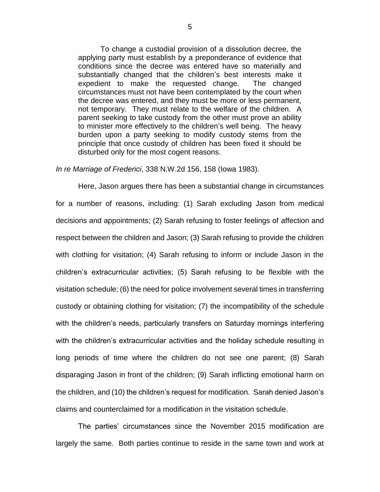To change a custodial provision of a dissolution decree, the applying party must establish by a preponderance of evidence that conditions since the decree was entered have so materially and substantially changed that the children's best interests make it expedient to make the requested change. The changed circumstances must not have been contemplated by the court when the decree was entered, and they must be more or less permanent, not temporary. They must relate to the welfare of the children. A parent seeking to take custody from the other must prove an ability to minister more effectively to the children's well being. The heavy burden upon a party seeking to modify custody stems from the principle that once custody of children has been fixed it should be disturbed only for the most cogent reasons.

*In re Marriage of Frederici*, 338 N.W.2d 156, 158 (Iowa 1983).

Here, Jason argues there has been a substantial change in circumstances for a number of reasons, including: (1) Sarah excluding Jason from medical decisions and appointments; (2) Sarah refusing to foster feelings of affection and respect between the children and Jason; (3) Sarah refusing to provide the children with clothing for visitation; (4) Sarah refusing to inform or include Jason in the children's extracurricular activities; (5) Sarah refusing to be flexible with the visitation schedule; (6) the need for police involvement several times in transferring custody or obtaining clothing for visitation; (7) the incompatibility of the schedule with the children's needs, particularly transfers on Saturday mornings interfering with the children's extracurricular activities and the holiday schedule resulting in long periods of time where the children do not see one parent; (8) Sarah disparaging Jason in front of the children; (9) Sarah inflicting emotional harm on the children, and (10) the children's request for modification. Sarah denied Jason's claims and counterclaimed for a modification in the visitation schedule.

The parties' circumstances since the November 2015 modification are largely the same. Both parties continue to reside in the same town and work at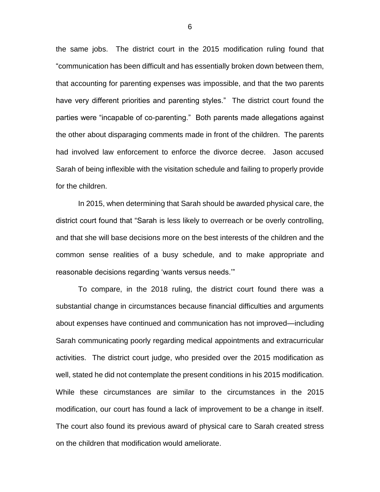the same jobs. The district court in the 2015 modification ruling found that "communication has been difficult and has essentially broken down between them, that accounting for parenting expenses was impossible, and that the two parents have very different priorities and parenting styles." The district court found the parties were "incapable of co-parenting." Both parents made allegations against the other about disparaging comments made in front of the children. The parents had involved law enforcement to enforce the divorce decree. Jason accused Sarah of being inflexible with the visitation schedule and failing to properly provide for the children.

In 2015, when determining that Sarah should be awarded physical care, the district court found that "Sarah is less likely to overreach or be overly controlling, and that she will base decisions more on the best interests of the children and the common sense realities of a busy schedule, and to make appropriate and reasonable decisions regarding 'wants versus needs.'"

To compare, in the 2018 ruling, the district court found there was a substantial change in circumstances because financial difficulties and arguments about expenses have continued and communication has not improved—including Sarah communicating poorly regarding medical appointments and extracurricular activities. The district court judge, who presided over the 2015 modification as well, stated he did not contemplate the present conditions in his 2015 modification. While these circumstances are similar to the circumstances in the 2015 modification, our court has found a lack of improvement to be a change in itself. The court also found its previous award of physical care to Sarah created stress on the children that modification would ameliorate.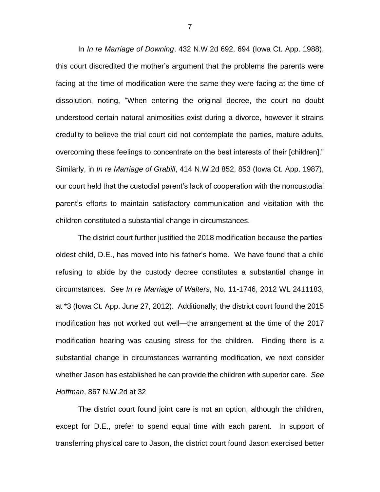In *In re Marriage of Downing*, 432 N.W.2d 692, 694 (Iowa Ct. App. 1988), this court discredited the mother's argument that the problems the parents were facing at the time of modification were the same they were facing at the time of dissolution, noting, "When entering the original decree, the court no doubt understood certain natural animosities exist during a divorce, however it strains credulity to believe the trial court did not contemplate the parties, mature adults, overcoming these feelings to concentrate on the best interests of their [children]." Similarly, in *In re Marriage of Grabill*, 414 N.W.2d 852, 853 (Iowa Ct. App. 1987), our court held that the custodial parent's lack of cooperation with the noncustodial parent's efforts to maintain satisfactory communication and visitation with the children constituted a substantial change in circumstances.

The district court further justified the 2018 modification because the parties' oldest child, D.E., has moved into his father's home. We have found that a child refusing to abide by the custody decree constitutes a substantial change in circumstances. *See In re Marriage of Walters*, No. 11-1746, 2012 WL 2411183, at \*3 (Iowa Ct. App. June 27, 2012). Additionally, the district court found the 2015 modification has not worked out well—the arrangement at the time of the 2017 modification hearing was causing stress for the children. Finding there is a substantial change in circumstances warranting modification, we next consider whether Jason has established he can provide the children with superior care. *See Hoffman*, 867 N.W.2d at 32

The district court found joint care is not an option, although the children, except for D.E., prefer to spend equal time with each parent. In support of transferring physical care to Jason, the district court found Jason exercised better